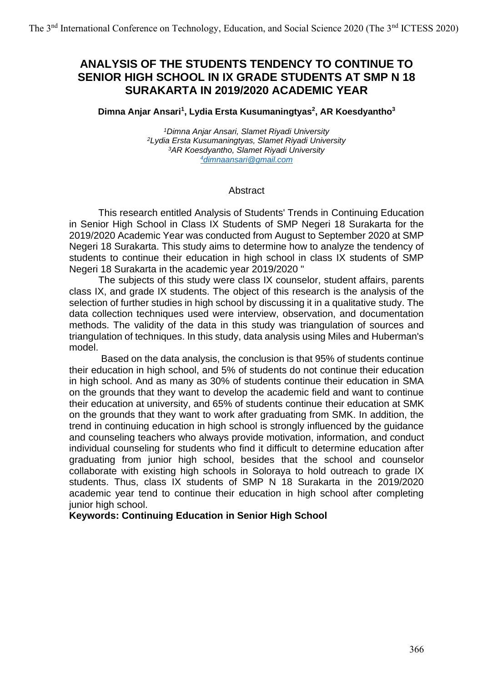# **ANALYSIS OF THE STUDENTS TENDENCY TO CONTINUE TO SENIOR HIGH SCHOOL IN IX GRADE STUDENTS AT SMP N 18 SURAKARTA IN 2019/2020 ACADEMIC YEAR**

#### **Dimna Anjar Ansari<sup>1</sup> , Lydia Ersta Kusumaningtyas<sup>2</sup> , AR Koesdyantho<sup>3</sup>**

*Dimna Anjar Ansari, Slamet Riyadi University Lydia Ersta Kusumaningtyas, Slamet Riyadi University AR Koesdyantho, Slamet Riyadi University [dimnaansari@gmail.com](mailto:4dimnaansari@gmail.com)*

#### Abstract

This research entitled Analysis of Students' Trends in Continuing Education in Senior High School in Class IX Students of SMP Negeri 18 Surakarta for the 2019/2020 Academic Year was conducted from August to September 2020 at SMP Negeri 18 Surakarta. This study aims to determine how to analyze the tendency of students to continue their education in high school in class IX students of SMP Negeri 18 Surakarta in the academic year 2019/2020 "

The subjects of this study were class IX counselor, student affairs, parents class IX, and grade IX students. The object of this research is the analysis of the selection of further studies in high school by discussing it in a qualitative study. The data collection techniques used were interview, observation, and documentation methods. The validity of the data in this study was triangulation of sources and triangulation of techniques. In this study, data analysis using Miles and Huberman's model.

Based on the data analysis, the conclusion is that 95% of students continue their education in high school, and 5% of students do not continue their education in high school. And as many as 30% of students continue their education in SMA on the grounds that they want to develop the academic field and want to continue their education at university, and 65% of students continue their education at SMK on the grounds that they want to work after graduating from SMK. In addition, the trend in continuing education in high school is strongly influenced by the guidance and counseling teachers who always provide motivation, information, and conduct individual counseling for students who find it difficult to determine education after graduating from junior high school, besides that the school and counselor collaborate with existing high schools in Soloraya to hold outreach to grade IX students. Thus, class IX students of SMP N 18 Surakarta in the 2019/2020 academic year tend to continue their education in high school after completing junior high school.

#### **Keywords: Continuing Education in Senior High School**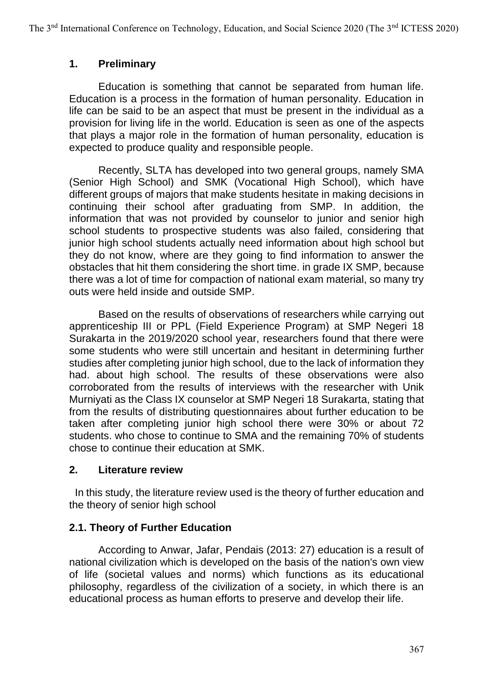### **1. Preliminary**

Education is something that cannot be separated from human life. Education is a process in the formation of human personality. Education in life can be said to be an aspect that must be present in the individual as a provision for living life in the world. Education is seen as one of the aspects that plays a major role in the formation of human personality, education is expected to produce quality and responsible people.

Recently, SLTA has developed into two general groups, namely SMA (Senior High School) and SMK (Vocational High School), which have different groups of majors that make students hesitate in making decisions in continuing their school after graduating from SMP. In addition, the information that was not provided by counselor to junior and senior high school students to prospective students was also failed, considering that junior high school students actually need information about high school but they do not know, where are they going to find information to answer the obstacles that hit them considering the short time. in grade IX SMP, because there was a lot of time for compaction of national exam material, so many try outs were held inside and outside SMP.

Based on the results of observations of researchers while carrying out apprenticeship III or PPL (Field Experience Program) at SMP Negeri 18 Surakarta in the 2019/2020 school year, researchers found that there were some students who were still uncertain and hesitant in determining further studies after completing junior high school, due to the lack of information they had. about high school. The results of these observations were also corroborated from the results of interviews with the researcher with Unik Murniyati as the Class IX counselor at SMP Negeri 18 Surakarta, stating that from the results of distributing questionnaires about further education to be taken after completing junior high school there were 30% or about 72 students. who chose to continue to SMA and the remaining 70% of students chose to continue their education at SMK.

### **2. Literature review**

 In this study, the literature review used is the theory of further education and the theory of senior high school

### **2.1. Theory of Further Education**

According to Anwar, Jafar, Pendais (2013: 27) education is a result of national civilization which is developed on the basis of the nation's own view of life (societal values and norms) which functions as its educational philosophy, regardless of the civilization of a society, in which there is an educational process as human efforts to preserve and develop their life.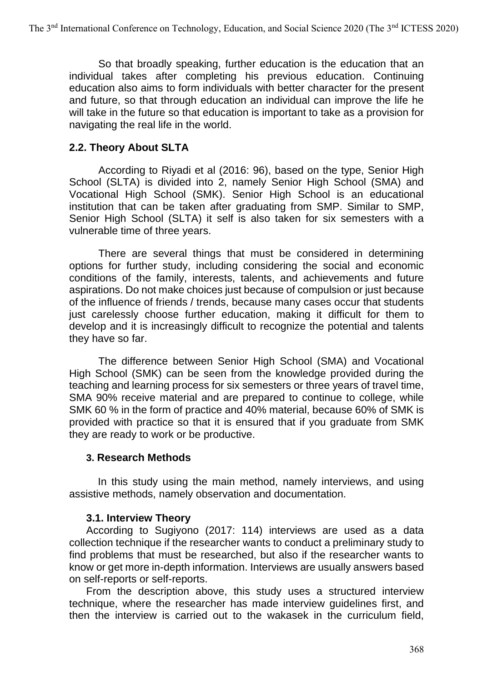So that broadly speaking, further education is the education that an individual takes after completing his previous education. Continuing education also aims to form individuals with better character for the present and future, so that through education an individual can improve the life he will take in the future so that education is important to take as a provision for navigating the real life in the world.

## **2.2. Theory About SLTA**

According to Riyadi et al (2016: 96), based on the type, Senior High School (SLTA) is divided into 2, namely Senior High School (SMA) and Vocational High School (SMK). Senior High School is an educational institution that can be taken after graduating from SMP. Similar to SMP, Senior High School (SLTA) it self is also taken for six semesters with a vulnerable time of three years.

There are several things that must be considered in determining options for further study, including considering the social and economic conditions of the family, interests, talents, and achievements and future aspirations. Do not make choices just because of compulsion or just because of the influence of friends / trends, because many cases occur that students just carelessly choose further education, making it difficult for them to develop and it is increasingly difficult to recognize the potential and talents they have so far.

The difference between Senior High School (SMA) and Vocational High School (SMK) can be seen from the knowledge provided during the teaching and learning process for six semesters or three years of travel time, SMA 90% receive material and are prepared to continue to college, while SMK 60 % in the form of practice and 40% material, because 60% of SMK is provided with practice so that it is ensured that if you graduate from SMK they are ready to work or be productive.

### **3. Research Methods**

 In this study using the main method, namely interviews, and using assistive methods, namely observation and documentation.

### **3.1. Interview Theory**

According to Sugiyono (2017: 114) interviews are used as a data collection technique if the researcher wants to conduct a preliminary study to find problems that must be researched, but also if the researcher wants to know or get more in-depth information. Interviews are usually answers based on self-reports or self-reports.

From the description above, this study uses a structured interview technique, where the researcher has made interview guidelines first, and then the interview is carried out to the wakasek in the curriculum field,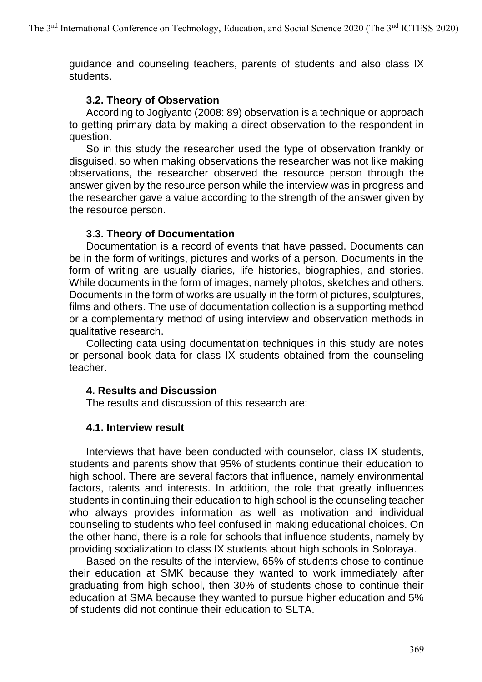guidance and counseling teachers, parents of students and also class IX students.

#### **3.2. Theory of Observation**

According to Jogiyanto (2008: 89) observation is a technique or approach to getting primary data by making a direct observation to the respondent in question.

So in this study the researcher used the type of observation frankly or disguised, so when making observations the researcher was not like making observations, the researcher observed the resource person through the answer given by the resource person while the interview was in progress and the researcher gave a value according to the strength of the answer given by the resource person.

### **3.3. Theory of Documentation**

Documentation is a record of events that have passed. Documents can be in the form of writings, pictures and works of a person. Documents in the form of writing are usually diaries, life histories, biographies, and stories. While documents in the form of images, namely photos, sketches and others. Documents in the form of works are usually in the form of pictures, sculptures, films and others. The use of documentation collection is a supporting method or a complementary method of using interview and observation methods in qualitative research.

Collecting data using documentation techniques in this study are notes or personal book data for class IX students obtained from the counseling teacher.

### **4. Results and Discussion**

The results and discussion of this research are:

### **4.1. Interview result**

Interviews that have been conducted with counselor, class IX students, students and parents show that 95% of students continue their education to high school. There are several factors that influence, namely environmental factors, talents and interests. In addition, the role that greatly influences students in continuing their education to high school is the counseling teacher who always provides information as well as motivation and individual counseling to students who feel confused in making educational choices. On the other hand, there is a role for schools that influence students, namely by providing socialization to class IX students about high schools in Soloraya.

Based on the results of the interview, 65% of students chose to continue their education at SMK because they wanted to work immediately after graduating from high school, then 30% of students chose to continue their education at SMA because they wanted to pursue higher education and 5% of students did not continue their education to SLTA.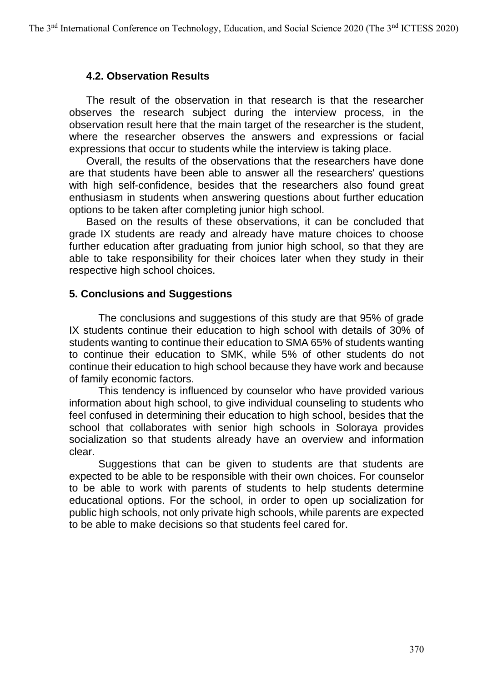#### **4.2. Observation Results**

The result of the observation in that research is that the researcher observes the research subject during the interview process, in the observation result here that the main target of the researcher is the student, where the researcher observes the answers and expressions or facial expressions that occur to students while the interview is taking place.

Overall, the results of the observations that the researchers have done are that students have been able to answer all the researchers' questions with high self-confidence, besides that the researchers also found great enthusiasm in students when answering questions about further education options to be taken after completing junior high school.

Based on the results of these observations, it can be concluded that grade IX students are ready and already have mature choices to choose further education after graduating from junior high school, so that they are able to take responsibility for their choices later when they study in their respective high school choices.

#### **5. Conclusions and Suggestions**

The conclusions and suggestions of this study are that 95% of grade IX students continue their education to high school with details of 30% of students wanting to continue their education to SMA 65% of students wanting to continue their education to SMK, while 5% of other students do not continue their education to high school because they have work and because of family economic factors.

This tendency is influenced by counselor who have provided various information about high school, to give individual counseling to students who feel confused in determining their education to high school, besides that the school that collaborates with senior high schools in Soloraya provides socialization so that students already have an overview and information clear.

Suggestions that can be given to students are that students are expected to be able to be responsible with their own choices. For counselor to be able to work with parents of students to help students determine educational options. For the school, in order to open up socialization for public high schools, not only private high schools, while parents are expected to be able to make decisions so that students feel cared for.